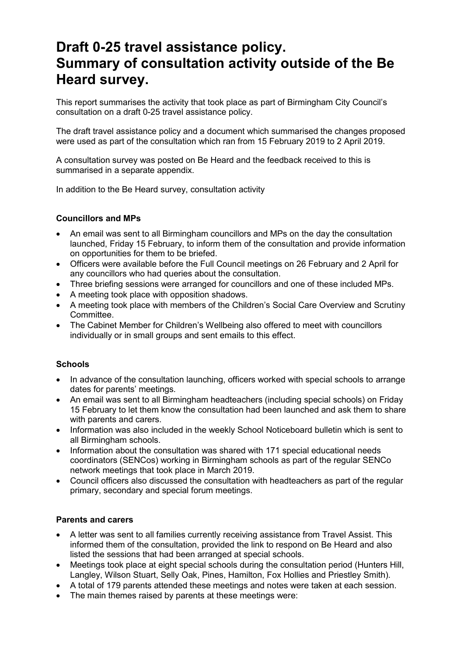# **Draft 0-25 travel assistance policy. Summary of consultation activity outside of the Be Heard survey.**

This report summarises the activity that took place as part of Birmingham City Council's consultation on a draft 0-25 travel assistance policy.

The draft travel assistance policy and a document which summarised the changes proposed were used as part of the consultation which ran from 15 February 2019 to 2 April 2019.

A consultation survey was posted on Be Heard and the feedback received to this is summarised in a separate appendix.

In addition to the Be Heard survey, consultation activity

## **Councillors and MPs**

- An email was sent to all Birmingham councillors and MPs on the day the consultation launched, Friday 15 February, to inform them of the consultation and provide information on opportunities for them to be briefed.
- Officers were available before the Full Council meetings on 26 February and 2 April for any councillors who had queries about the consultation.
- Three briefing sessions were arranged for councillors and one of these included MPs.
- A meeting took place with opposition shadows.
- A meeting took place with members of the Children's Social Care Overview and Scrutiny Committee.
- The Cabinet Member for Children's Wellbeing also offered to meet with councillors individually or in small groups and sent emails to this effect.

## **Schools**

- In advance of the consultation launching, officers worked with special schools to arrange dates for parents' meetings.
- An email was sent to all Birmingham headteachers (including special schools) on Friday 15 February to let them know the consultation had been launched and ask them to share with parents and carers.
- Information was also included in the weekly School Noticeboard bulletin which is sent to all Birmingham schools.
- Information about the consultation was shared with 171 special educational needs coordinators (SENCos) working in Birmingham schools as part of the regular SENCo network meetings that took place in March 2019.
- Council officers also discussed the consultation with headteachers as part of the regular primary, secondary and special forum meetings.

## **Parents and carers**

- A letter was sent to all families currently receiving assistance from Travel Assist. This informed them of the consultation, provided the link to respond on Be Heard and also listed the sessions that had been arranged at special schools.
- Meetings took place at eight special schools during the consultation period (Hunters Hill, Langley, Wilson Stuart, Selly Oak, Pines, Hamilton, Fox Hollies and Priestley Smith).
- A total of 179 parents attended these meetings and notes were taken at each session.
- The main themes raised by parents at these meetings were: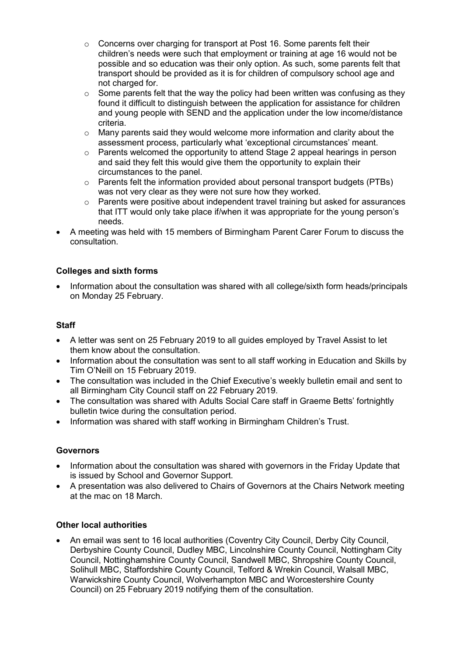- o Concerns over charging for transport at Post 16. Some parents felt their children's needs were such that employment or training at age 16 would not be possible and so education was their only option. As such, some parents felt that transport should be provided as it is for children of compulsory school age and not charged for.
- $\circ$  Some parents felt that the way the policy had been written was confusing as they found it difficult to distinguish between the application for assistance for children and young people with SEND and the application under the low income/distance criteria.
- $\circ$  Many parents said they would welcome more information and clarity about the assessment process, particularly what 'exceptional circumstances' meant.
- o Parents welcomed the opportunity to attend Stage 2 appeal hearings in person and said they felt this would give them the opportunity to explain their circumstances to the panel.
- $\circ$  Parents felt the information provided about personal transport budgets (PTBs) was not very clear as they were not sure how they worked.
- o Parents were positive about independent travel training but asked for assurances that ITT would only take place if/when it was appropriate for the young person's needs.
- A meeting was held with 15 members of Birmingham Parent Carer Forum to discuss the consultation.

## **Colleges and sixth forms**

• Information about the consultation was shared with all college/sixth form heads/principals on Monday 25 February.

## **Staff**

- A letter was sent on 25 February 2019 to all guides employed by Travel Assist to let them know about the consultation.
- Information about the consultation was sent to all staff working in Education and Skills by Tim O'Neill on 15 February 2019.
- The consultation was included in the Chief Executive's weekly bulletin email and sent to all Birmingham City Council staff on 22 February 2019.
- The consultation was shared with Adults Social Care staff in Graeme Betts' fortnightly bulletin twice during the consultation period.
- Information was shared with staff working in Birmingham Children's Trust.

## **Governors**

- Information about the consultation was shared with governors in the Friday Update that is issued by School and Governor Support.
- A presentation was also delivered to Chairs of Governors at the Chairs Network meeting at the mac on 18 March.

#### **Other local authorities**

• An email was sent to 16 local authorities (Coventry City Council, Derby City Council, Derbyshire County Council, Dudley MBC, Lincolnshire County Council, Nottingham City Council, Nottinghamshire County Council, Sandwell MBC, Shropshire County Council, Solihull MBC, Staffordshire County Council, Telford & Wrekin Council, Walsall MBC, Warwickshire County Council, Wolverhampton MBC and Worcestershire County Council) on 25 February 2019 notifying them of the consultation.